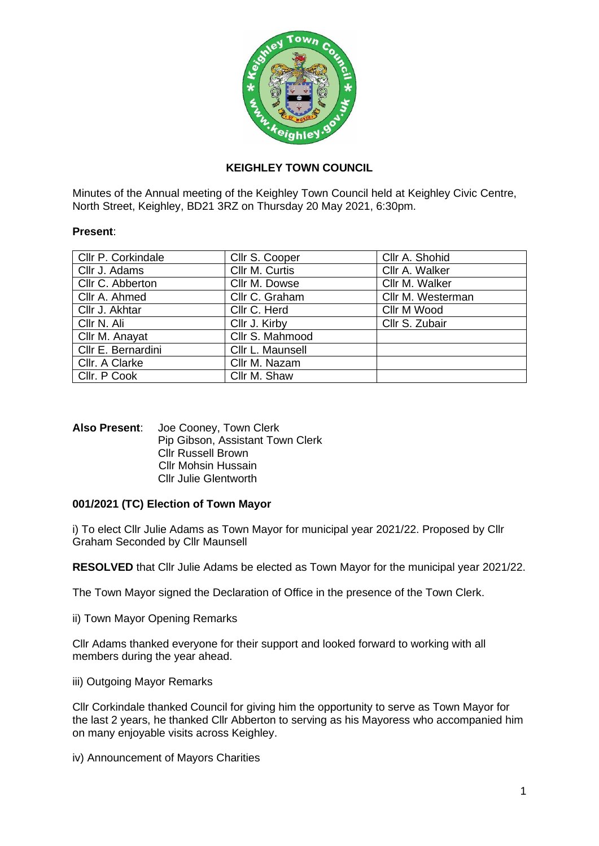

# **KEIGHLEY TOWN COUNCIL**

Minutes of the Annual meeting of the Keighley Town Council held at Keighley Civic Centre, North Street, Keighley, BD21 3RZ on Thursday 20 May 2021, 6:30pm.

## **Present**:

| Cllr P. Corkindale | Cllr S. Cooper   | Cllr A. Shohid    |
|--------------------|------------------|-------------------|
| Cllr J. Adams      | Cllr M. Curtis   | Cllr A. Walker    |
| Cllr C. Abberton   | Cllr M. Dowse    | Cllr M. Walker    |
| Cllr A. Ahmed      | Cllr C. Graham   | Cllr M. Westerman |
| Cllr J. Akhtar     | Cllr C. Herd     | Cllr M Wood       |
| Cllr N. Ali        | Cllr J. Kirby    | Cllr S. Zubair    |
| Cllr M. Anayat     | Cllr S. Mahmood  |                   |
| Cllr E. Bernardini | Cllr L. Maunsell |                   |
| Cllr. A Clarke     | Cllr M. Nazam    |                   |
| Cllr. P Cook       | Cllr M. Shaw     |                   |

## **Also Present**: Joe Cooney, Town Clerk Pip Gibson, Assistant Town Clerk Cllr Russell Brown Cllr Mohsin Hussain Cllr Julie Glentworth

# **001/2021 (TC) Election of Town Mayor**

i) To elect Cllr Julie Adams as Town Mayor for municipal year 2021/22. Proposed by Cllr Graham Seconded by Cllr Maunsell

**RESOLVED** that Cllr Julie Adams be elected as Town Mayor for the municipal year 2021/22.

The Town Mayor signed the Declaration of Office in the presence of the Town Clerk.

ii) Town Mayor Opening Remarks

Cllr Adams thanked everyone for their support and looked forward to working with all members during the year ahead.

iii) Outgoing Mayor Remarks

Cllr Corkindale thanked Council for giving him the opportunity to serve as Town Mayor for the last 2 years, he thanked Cllr Abberton to serving as his Mayoress who accompanied him on many enjoyable visits across Keighley.

iv) Announcement of Mayors Charities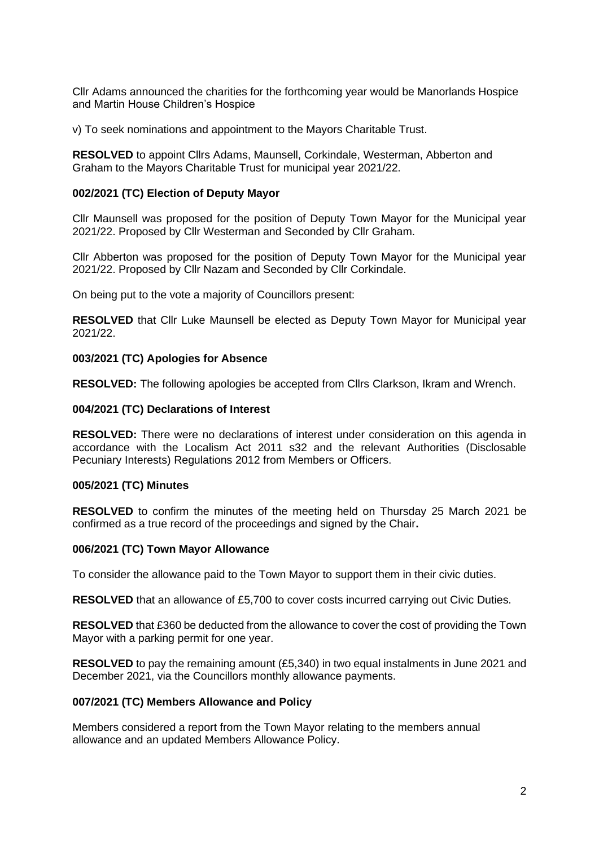Cllr Adams announced the charities for the forthcoming year would be Manorlands Hospice and Martin House Children's Hospice

v) To seek nominations and appointment to the Mayors Charitable Trust.

**RESOLVED** to appoint Cllrs Adams, Maunsell, Corkindale, Westerman, Abberton and Graham to the Mayors Charitable Trust for municipal year 2021/22.

## **002/2021 (TC) Election of Deputy Mayor**

Cllr Maunsell was proposed for the position of Deputy Town Mayor for the Municipal year 2021/22. Proposed by Cllr Westerman and Seconded by Cllr Graham.

Cllr Abberton was proposed for the position of Deputy Town Mayor for the Municipal year 2021/22. Proposed by Cllr Nazam and Seconded by Cllr Corkindale.

On being put to the vote a majority of Councillors present:

**RESOLVED** that Cllr Luke Maunsell be elected as Deputy Town Mayor for Municipal year 2021/22.

## **003/2021 (TC) Apologies for Absence**

**RESOLVED:** The following apologies be accepted from Cllrs Clarkson, Ikram and Wrench.

## **004/2021 (TC) Declarations of Interest**

**RESOLVED:** There were no declarations of interest under consideration on this agenda in accordance with the Localism Act 2011 s32 and the relevant Authorities (Disclosable Pecuniary Interests) Regulations 2012 from Members or Officers.

# **005/2021 (TC) Minutes**

**RESOLVED** to confirm the minutes of the meeting held on Thursday 25 March 2021 be confirmed as a true record of the proceedings and signed by the Chair**.**

#### **006/2021 (TC) Town Mayor Allowance**

To consider the allowance paid to the Town Mayor to support them in their civic duties.

**RESOLVED** that an allowance of £5,700 to cover costs incurred carrying out Civic Duties.

**RESOLVED** that £360 be deducted from the allowance to cover the cost of providing the Town Mayor with a parking permit for one year.

**RESOLVED** to pay the remaining amount (£5,340) in two equal instalments in June 2021 and December 2021, via the Councillors monthly allowance payments.

#### **007/2021 (TC) Members Allowance and Policy**

Members considered a report from the Town Mayor relating to the members annual allowance and an updated Members Allowance Policy.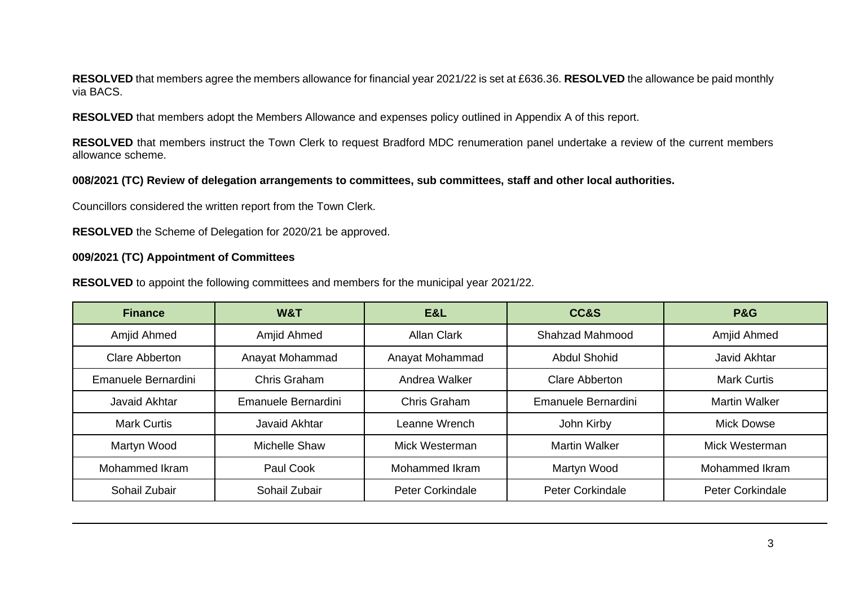**RESOLVED** that members agree the members allowance for financial year 2021/22 is set at £636.36. **RESOLVED** the allowance be paid monthly via BACS.

**RESOLVED** that members adopt the Members Allowance and expenses policy outlined in Appendix A of this report.

**RESOLVED** that members instruct the Town Clerk to request Bradford MDC renumeration panel undertake a review of the current members allowance scheme.

# **008/2021 (TC) Review of delegation arrangements to committees, sub committees, staff and other local authorities.**

Councillors considered the written report from the Town Clerk.

**RESOLVED** the Scheme of Delegation for 2020/21 be approved.

#### **009/2021 (TC) Appointment of Committees**

**RESOLVED** to appoint the following committees and members for the municipal year 2021/22.

| <b>Finance</b>      | W&T                  | E&L                     | CC&S                    | <b>P&amp;G</b>          |
|---------------------|----------------------|-------------------------|-------------------------|-------------------------|
| Amjid Ahmed         | Amjid Ahmed          | <b>Allan Clark</b>      | Shahzad Mahmood         | Amjid Ahmed             |
| Clare Abberton      | Anayat Mohammad      | Anayat Mohammad         | <b>Abdul Shohid</b>     | Javid Akhtar            |
| Emanuele Bernardini | Chris Graham         | Andrea Walker           | <b>Clare Abberton</b>   | <b>Mark Curtis</b>      |
| Javaid Akhtar       | Emanuele Bernardini  | Chris Graham            | Emanuele Bernardini     | <b>Martin Walker</b>    |
| <b>Mark Curtis</b>  | Javaid Akhtar        | Leanne Wrench           | John Kirby              | <b>Mick Dowse</b>       |
| Martyn Wood         | <b>Michelle Shaw</b> | Mick Westerman          | <b>Martin Walker</b>    | Mick Westerman          |
| Mohammed Ikram      | Paul Cook            | <b>Mohammed Ikram</b>   | Martyn Wood             | <b>Mohammed Ikram</b>   |
| Sohail Zubair       | Sohail Zubair        | <b>Peter Corkindale</b> | <b>Peter Corkindale</b> | <b>Peter Corkindale</b> |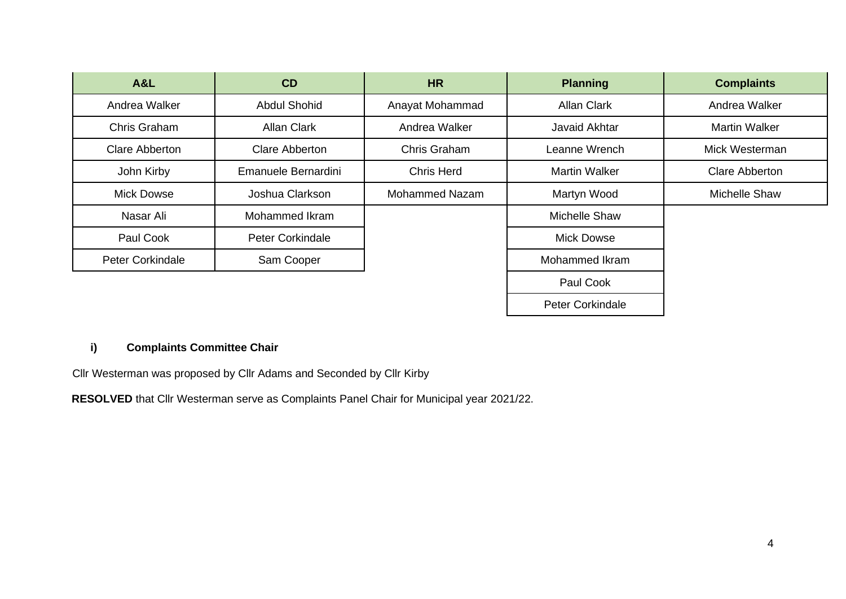| <b>A&amp;L</b>        | CD                      | <b>HR</b>             | <b>Planning</b>         | <b>Complaints</b>    |
|-----------------------|-------------------------|-----------------------|-------------------------|----------------------|
| Andrea Walker         | <b>Abdul Shohid</b>     | Anayat Mohammad       | <b>Allan Clark</b>      | Andrea Walker        |
| Chris Graham          | <b>Allan Clark</b>      | Andrea Walker         | Javaid Akhtar           | <b>Martin Walker</b> |
| <b>Clare Abberton</b> | <b>Clare Abberton</b>   | Chris Graham          | Leanne Wrench           | Mick Westerman       |
| John Kirby            | Emanuele Bernardini     | <b>Chris Herd</b>     | <b>Martin Walker</b>    | Clare Abberton       |
| <b>Mick Dowse</b>     | Joshua Clarkson         | <b>Mohammed Nazam</b> | Martyn Wood             | Michelle Shaw        |
| Nasar Ali             | Mohammed Ikram          |                       | <b>Michelle Shaw</b>    |                      |
| Paul Cook             | <b>Peter Corkindale</b> |                       | <b>Mick Dowse</b>       |                      |
| Peter Corkindale      | Sam Cooper              |                       | Mohammed Ikram          |                      |
|                       |                         |                       | Paul Cook               |                      |
|                       |                         |                       | <b>Peter Corkindale</b> |                      |

# **i) Complaints Committee Chair**

Cllr Westerman was proposed by Cllr Adams and Seconded by Cllr Kirby

**RESOLVED** that Cllr Westerman serve as Complaints Panel Chair for Municipal year 2021/22.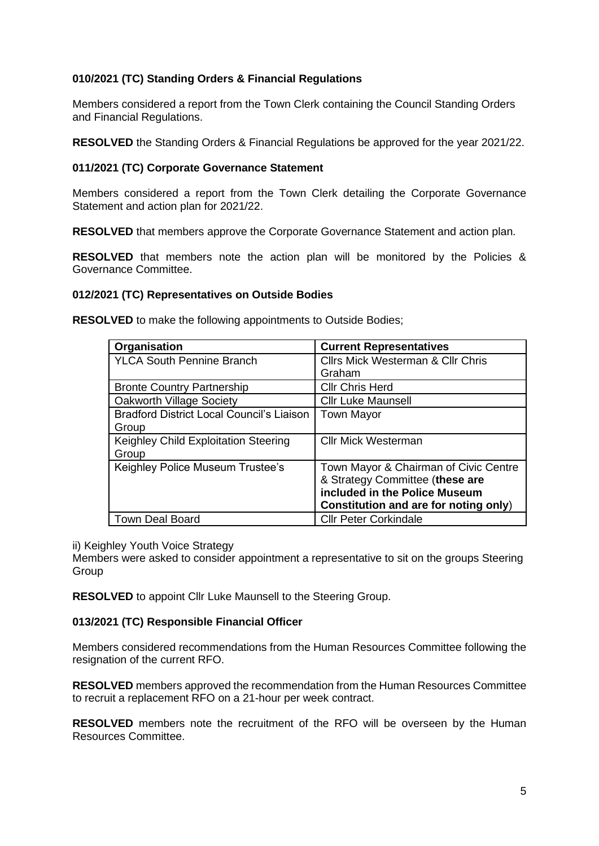# **010/2021 (TC) Standing Orders & Financial Regulations**

Members considered a report from the Town Clerk containing the Council Standing Orders and Financial Regulations.

**RESOLVED** the Standing Orders & Financial Regulations be approved for the year 2021/22.

# **011/2021 (TC) Corporate Governance Statement**

Members considered a report from the Town Clerk detailing the Corporate Governance Statement and action plan for 2021/22.

**RESOLVED** that members approve the Corporate Governance Statement and action plan.

**RESOLVED** that members note the action plan will be monitored by the Policies & Governance Committee.

## **012/2021 (TC) Representatives on Outside Bodies**

**RESOLVED** to make the following appointments to Outside Bodies;

| Organisation                                     | <b>Current Representatives</b>               |
|--------------------------------------------------|----------------------------------------------|
| <b>YLCA South Pennine Branch</b>                 | <b>Cllrs Mick Westerman &amp; Cllr Chris</b> |
|                                                  | Graham                                       |
| <b>Bronte Country Partnership</b>                | <b>Cllr Chris Herd</b>                       |
| Oakworth Village Society                         | <b>Cllr Luke Maunsell</b>                    |
| <b>Bradford District Local Council's Liaison</b> | <b>Town Mayor</b>                            |
| Group                                            |                                              |
| Keighley Child Exploitation Steering             | <b>Cllr Mick Westerman</b>                   |
| Group                                            |                                              |
| Keighley Police Museum Trustee's                 | Town Mayor & Chairman of Civic Centre        |
|                                                  | & Strategy Committee (these are              |
|                                                  | included in the Police Museum                |
|                                                  | Constitution and are for noting only)        |
| <b>Town Deal Board</b>                           | <b>Cllr Peter Corkindale</b>                 |

ii) Keighley Youth Voice Strategy

Members were asked to consider appointment a representative to sit on the groups Steering **Group** 

**RESOLVED** to appoint Cllr Luke Maunsell to the Steering Group.

# **013/2021 (TC) Responsible Financial Officer**

Members considered recommendations from the Human Resources Committee following the resignation of the current RFO.

**RESOLVED** members approved the recommendation from the Human Resources Committee to recruit a replacement RFO on a 21-hour per week contract.

**RESOLVED** members note the recruitment of the RFO will be overseen by the Human Resources Committee.